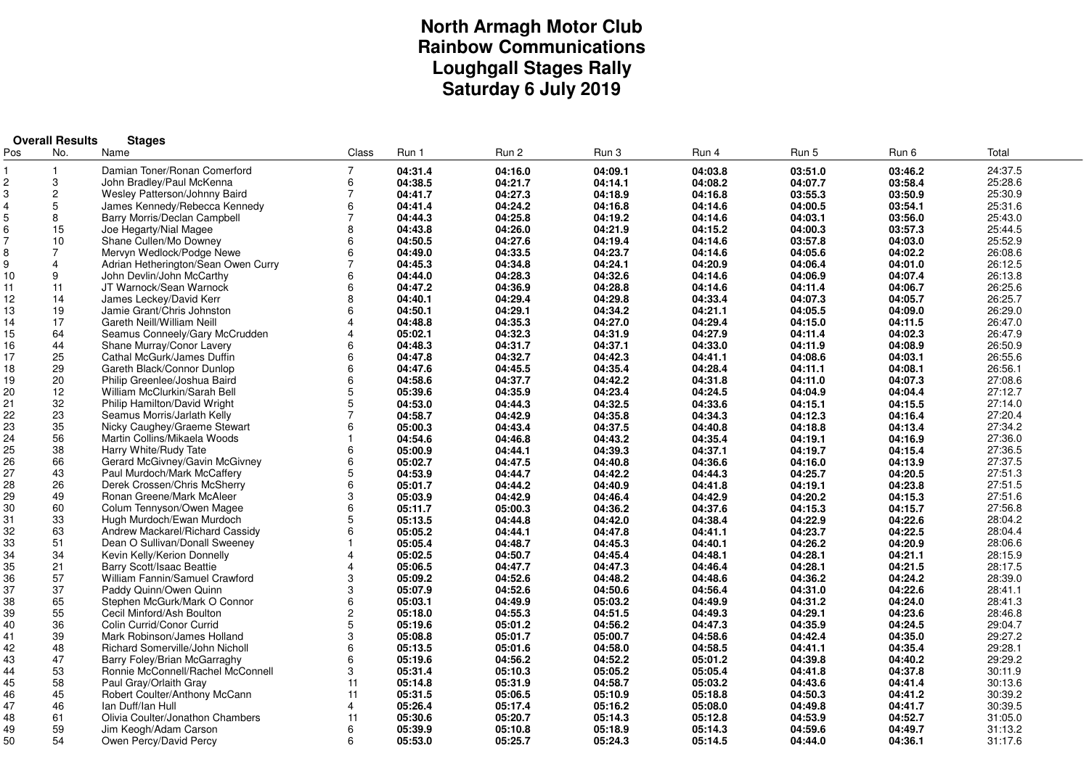# **North Armagh Motor Club Rainbow CommunicationsLoughgall Stages Rally Saturday 6 July 2019**

| Pos<br>Run 2<br>Run 4<br>Run 5<br>Total<br>No.<br>Name<br>Class<br>Run 1<br>Run 3<br>Run 6<br>Damian Toner/Ronan Comerford<br>$\overline{7}$<br>04:09.1<br>04:03.8<br>$\overline{\mathbf{1}}$<br>04:31.4<br>04:16.0<br>03:51.0<br>03:46.2<br>24:37.5<br>3<br>$\overline{c}$<br>04:38.5<br>04:21.7<br>04:14.1<br>04:08.2<br>04:07.7<br>03:58.4<br>25:28.6<br>John Bradley/Paul McKenna<br>6<br>3<br>$\overline{c}$<br>04:16.8<br>03:50.9<br>Wesley Patterson/Johnny Baird<br>$\overline{7}$<br>04:41.7<br>04:27.3<br>04:18.9<br>03:55.3<br>25:30.9<br>5<br>04:14.6<br>4<br>James Kennedy/Rebecca Kennedy<br>04:41.4<br>04:24.2<br>04:16.8<br>04:00.5<br>03:54.1<br>25:31.6<br>6<br>5<br>8<br>Barry Morris/Declan Campbell<br>$\overline{7}$<br>04:25.8<br>04:19.2<br>04:14.6<br>04:03.1<br>03:56.0<br>25:43.0<br>04:44.3<br>6<br>15<br>Joe Hegarty/Nial Magee<br>04:43.8<br>04:26.0<br>04:21.9<br>04:15.2<br>04:00.3<br>03:57.3<br>25:44.5<br>8<br>$\overline{7}$<br>10<br>04:27.6<br>04:14.6<br>03:57.8<br>25:52.9<br>Shane Cullen/Mo Downey<br>6<br>04:50.5<br>04:19.4<br>04:03.0<br>8<br>$\overline{7}$<br>Mervyn Wedlock/Podge Newe<br>04:49.0<br>04:33.5<br>04:23.7<br>04:14.6<br>04:05.6<br>04:02.2<br>26:08.6<br>6<br>04:20.9<br>04:34.8<br>04:24.1<br>04:01.0<br>26:12.5<br>9<br>$\overline{4}$<br>Adrian Hetherington/Sean Owen Curry<br>7<br>04:45.3<br>04:06.4<br>9<br>10<br>6<br>04:28.3<br>04:32.6<br>04:14.6<br>04:06.9<br>04:07.4<br>26:13.8<br>John Devlin/John McCarthy<br>04:44.0<br>JT Warnock/Sean Warnock<br>04:36.9<br>04:28.8<br>04:14.6<br>26:25.6<br>11<br>11<br>6<br>04:47.2<br>04:11.4<br>04:06.7<br>04:33.4<br>12<br>14<br>04:40.1<br>04:29.4<br>04:29.8<br>04:07.3<br>04:05.7<br>26:25.7<br>James Leckey/David Kerr<br>8<br>13<br>19<br>04:34.2<br>04:21.1<br>04:09.0<br>Jamie Grant/Chris Johnston<br>6<br>04:50.1<br>04:29.1<br>04:05.5<br>26:29.0<br>17<br>14<br>Gareth Neill/William Neill<br>04:48.8<br>04:35.3<br>04:27.0<br>04:29.4<br>04:15.0<br>04:11.5<br>26:47.0<br>4<br>15<br>64<br>04:32.3<br>04:27.9<br>04:11.4<br>04:02.3<br>Seamus Conneely/Gary McCrudden<br>05:02.1<br>04:31.9<br>26:47.9<br>$\Delta$<br>04:33.0<br>16<br>44<br>Shane Murray/Conor Lavery<br>04:48.3<br>04:31.7<br>04:37.1<br>04:11.9<br>04:08.9<br>26:50.9<br>6<br>25<br>17<br>04:32.7<br>04:41.1<br>Cathal McGurk/James Duffin<br>6<br>04:47.8<br>04:42.3<br>04:08.6<br>04:03.1<br>26:55.6<br>29<br>18<br>6<br>04:47.6<br>04:45.5<br>04:35.4<br>04:28.4<br>04:11.1<br>04:08.1<br>26:56.1<br>Gareth Black/Connor Dunlop<br>19<br>20<br>04:37.7<br>04:42.2<br>04:31.8<br>27:08.6<br>Philip Greenlee/Joshua Baird<br>6<br>04:58.6<br>04:11.0<br>04:07.3<br>12<br>04:24.5<br>20<br>5<br>05:39.6<br>04:35.9<br>04:23.4<br>04:04.9<br>04:04.4<br>27:12.7<br>William McClurkin/Sarah Bell<br>32<br>21<br>Philip Hamilton/David Wright<br>5<br>04:53.0<br>04:44.3<br>04:32.5<br>04:33.6<br>04:15.1<br>27:14.0<br>04:15.5<br>23<br>22<br>$\overline{7}$<br>04:58.7<br>04:42.9<br>04:35.8<br>04:34.3<br>04:12.3<br>04:16.4<br>27:20.4<br>Seamus Morris/Jarlath Kelly<br>23<br>35<br>04:37.5<br>04:40.8<br>04:18.8<br>27:34.2<br>6<br>05:00.3<br>04:43.4<br>04:13.4<br>Nicky Caughey/Graeme Stewart<br>24<br>56<br>04:35.4<br>Martin Collins/Mikaela Woods<br>04:54.6<br>04:46.8<br>04:43.2<br>04:19.1<br>04:16.9<br>27:36.0<br>-1<br>25<br>38<br>04:39.3<br>04:37.1<br>04:19.7<br>Harry White/Rudy Tate<br>6<br>05:00.9<br>04:44.1<br>04:15.4<br>27:36.5<br>26<br>66<br>04:36.6<br>27:37.5<br>Gerard McGivney/Gavin McGivney<br>6<br>05:02.7<br>04:47.5<br>04:40.8<br>04:16.0<br>04:13.9<br>27<br>43<br>Paul Murdoch/Mark McCaffery<br>04:53.9<br>04:44.3<br>04:25.7<br>04:20.5<br>27:51.3<br>5<br>04:44.7<br>04:42.2<br>26<br>04:41.8<br>28<br>6<br>04:44.2<br>04:40.9<br>04:19.1<br>04:23.8<br>27:51.5<br>Derek Crossen/Chris McSherry<br>05:01.7<br>29<br>49<br>3<br>04:42.9<br>04:42.9<br>27:51.6<br>Ronan Greene/Mark McAleer<br>05:03.9<br>04:46.4<br>04:20.2<br>04:15.3<br>60<br>27:56.8<br>30<br>Colum Tennyson/Owen Magee<br>6<br>04:37.6<br>05:11.7<br>05:00.3<br>04:36.2<br>04:15.3<br>04:15.7<br>33<br>31<br>5<br>28:04.2<br>Hugh Murdoch/Ewan Murdoch<br>04:42.0<br>04:38.4<br>04:22.9<br>04:22.6<br>05:13.5<br>04:44.8<br>32<br>63<br>Andrew Mackarel/Richard Cassidy<br>04:41.1<br>04:23.7<br>04:22.5<br>28:04.4<br>6<br>05:05.2<br>04:44.1<br>04:47.8<br>33<br>51<br>Dean O Sullivan/Donall Sweeney<br>04:40.1<br>04:26.2<br>04:20.9<br>28:06.6<br>05:05.4<br>04:48.7<br>04:45.3<br>34<br>34<br>04:48.1<br>28:15.9<br>Kevin Kelly/Kerion Donnelly<br>05:02.5<br>04:50.7<br>04:45.4<br>04:28.1<br>04:21.1<br>35<br>21<br>Barry Scott/Isaac Beattie<br>04:46.4<br>04:28.1<br>04:21.5<br>28:17.5<br>05:06.5<br>04:47.7<br>04:47.3<br>36<br>57<br>William Fannin/Samuel Crawford<br>3<br>04:48.6<br>28:39.0<br>05:09.2<br>04:52.6<br>04:48.2<br>04:36.2<br>04:24.2<br>37<br>37<br>Paddy Quinn/Owen Quinn<br>3<br>05:07.9<br>04:50.6<br>04:56.4<br>04:31.0<br>04:22.6<br>28:41.1<br>04:52.6<br>65<br>38<br>Stephen McGurk/Mark O Connor<br>04:49.9<br>28:41.3<br>6<br>05:03.1<br>04:49.9<br>05:03.2<br>04:31.2<br>04:24.0<br>55<br>39<br>$\overline{c}$<br>Cecil Minford/Ash Boulton<br>04:51.5<br>04:49.3<br>04:29.1<br>04:23.6<br>28:46.8<br>05:18.0<br>04:55.3<br>36<br>40<br>Colin Currid/Conor Currid<br>5<br>29:04.7<br>05:01.2<br>04:56.2<br>04:47.3<br>04:35.9<br>04:24.5<br>05:19.6<br>41<br>39<br>3<br>29:27.2<br>Mark Robinson/James Holland<br>05:00.7<br>04:58.6<br>04:42.4<br>04:35.0<br>05:08.8<br>05:01.7<br>42<br>48<br>Richard Somerville/John Nicholl<br>6<br>04:58.5<br>29:28.1<br>05:13.5<br>05:01.6<br>04:58.0<br>04:41.1<br>04:35.4<br>43<br>47<br>29:29.2<br>Barry Foley/Brian McGarraghy<br>6<br>04:56.2<br>04:52.2<br>05:01.2<br>04:39.8<br>04:40.2<br>05:19.6<br>44<br>53<br>30:11.9<br>Ronnie McConnell/Rachel McConnell<br>3<br>05:31.4<br>05:10.3<br>05:05.2<br>05:05.4<br>04:41.8<br>04:37.8<br>58<br>45<br>11<br>04:58.7<br>05:03.2<br>30:13.6<br>Paul Gray/Orlaith Gray<br>05:14.8<br>05:31.9<br>04:43.6<br>04:41.4<br>45<br>46<br>Robert Coulter/Anthony McCann<br>11<br>30:39.2<br>05:31.5<br>05:06.5<br>05:10.9<br>05:18.8<br>04:50.3<br>04:41.2<br>47<br>46<br>Ian Duff/Ian Hull<br>05:08.0<br>30:39.5<br>4<br>05:26.4<br>05:17.4<br>05:16.2<br>04:49.8<br>04:41.7<br>48<br>61<br>Olivia Coulter/Jonathon Chambers<br>31:05.0<br>11<br>05:30.6<br>05:20.7<br>05:14.3<br>05:12.8<br>04:53.9<br>04:52.7<br>59<br>49<br>Jim Keogh/Adam Carson<br>05:14.3<br>04:49.7<br>31:13.2<br>6<br>05:39.9<br>05:10.8<br>05:18.9<br>04:59.6<br>50<br>54<br>6<br>Owen Percy/David Percy<br>31:17.6<br>05:53.0<br>05:25.7<br>05:24.3<br>05:14.5<br>04:44.0<br>04:36.1 | <b>Overall Results</b><br><b>Stages</b> |  |  |  |  |  |  |  |  |  |  |
|------------------------------------------------------------------------------------------------------------------------------------------------------------------------------------------------------------------------------------------------------------------------------------------------------------------------------------------------------------------------------------------------------------------------------------------------------------------------------------------------------------------------------------------------------------------------------------------------------------------------------------------------------------------------------------------------------------------------------------------------------------------------------------------------------------------------------------------------------------------------------------------------------------------------------------------------------------------------------------------------------------------------------------------------------------------------------------------------------------------------------------------------------------------------------------------------------------------------------------------------------------------------------------------------------------------------------------------------------------------------------------------------------------------------------------------------------------------------------------------------------------------------------------------------------------------------------------------------------------------------------------------------------------------------------------------------------------------------------------------------------------------------------------------------------------------------------------------------------------------------------------------------------------------------------------------------------------------------------------------------------------------------------------------------------------------------------------------------------------------------------------------------------------------------------------------------------------------------------------------------------------------------------------------------------------------------------------------------------------------------------------------------------------------------------------------------------------------------------------------------------------------------------------------------------------------------------------------------------------------------------------------------------------------------------------------------------------------------------------------------------------------------------------------------------------------------------------------------------------------------------------------------------------------------------------------------------------------------------------------------------------------------------------------------------------------------------------------------------------------------------------------------------------------------------------------------------------------------------------------------------------------------------------------------------------------------------------------------------------------------------------------------------------------------------------------------------------------------------------------------------------------------------------------------------------------------------------------------------------------------------------------------------------------------------------------------------------------------------------------------------------------------------------------------------------------------------------------------------------------------------------------------------------------------------------------------------------------------------------------------------------------------------------------------------------------------------------------------------------------------------------------------------------------------------------------------------------------------------------------------------------------------------------------------------------------------------------------------------------------------------------------------------------------------------------------------------------------------------------------------------------------------------------------------------------------------------------------------------------------------------------------------------------------------------------------------------------------------------------------------------------------------------------------------------------------------------------------------------------------------------------------------------------------------------------------------------------------------------------------------------------------------------------------------------------------------------------------------------------------------------------------------------------------------------------------------------------------------------------------------------------------------------------------------------------------------------------------------------------------------------------------------------------------------------------------------------------------------------------------------------------------------------------------------------------------------------------------------------------------------------------------------------------------------------------------------------------------------------------------------------------------------------------------------------------------------------------------------------------------------------------------------------------------------------------------------------------------------------------------------------------------------------------------------------------------------------------------------------------------------------------------------------------------------------------------------------------------------------------------------------------------------------------------------------------------------------------------------------------------------------------------------------------------------------------------------------------------------------------------------------------------------------------------------------------------------------------------------------------------------------------------------------------------------------------------------------------|-----------------------------------------|--|--|--|--|--|--|--|--|--|--|
|                                                                                                                                                                                                                                                                                                                                                                                                                                                                                                                                                                                                                                                                                                                                                                                                                                                                                                                                                                                                                                                                                                                                                                                                                                                                                                                                                                                                                                                                                                                                                                                                                                                                                                                                                                                                                                                                                                                                                                                                                                                                                                                                                                                                                                                                                                                                                                                                                                                                                                                                                                                                                                                                                                                                                                                                                                                                                                                                                                                                                                                                                                                                                                                                                                                                                                                                                                                                                                                                                                                                                                                                                                                                                                                                                                                                                                                                                                                                                                                                                                                                                                                                                                                                                                                                                                                                                                                                                                                                                                                                                                                                                                                                                                                                                                                                                                                                                                                                                                                                                                                                                                                                                                                                                                                                                                                                                                                                                                                                                                                                                                                                                                                                                                                                                                                                                                                                                                                                                                                                                                                                                                                                                                                                                                                                                                                                                                                                                                                                                                                                                                                                                                                                                                            |                                         |  |  |  |  |  |  |  |  |  |  |
|                                                                                                                                                                                                                                                                                                                                                                                                                                                                                                                                                                                                                                                                                                                                                                                                                                                                                                                                                                                                                                                                                                                                                                                                                                                                                                                                                                                                                                                                                                                                                                                                                                                                                                                                                                                                                                                                                                                                                                                                                                                                                                                                                                                                                                                                                                                                                                                                                                                                                                                                                                                                                                                                                                                                                                                                                                                                                                                                                                                                                                                                                                                                                                                                                                                                                                                                                                                                                                                                                                                                                                                                                                                                                                                                                                                                                                                                                                                                                                                                                                                                                                                                                                                                                                                                                                                                                                                                                                                                                                                                                                                                                                                                                                                                                                                                                                                                                                                                                                                                                                                                                                                                                                                                                                                                                                                                                                                                                                                                                                                                                                                                                                                                                                                                                                                                                                                                                                                                                                                                                                                                                                                                                                                                                                                                                                                                                                                                                                                                                                                                                                                                                                                                                                            |                                         |  |  |  |  |  |  |  |  |  |  |
|                                                                                                                                                                                                                                                                                                                                                                                                                                                                                                                                                                                                                                                                                                                                                                                                                                                                                                                                                                                                                                                                                                                                                                                                                                                                                                                                                                                                                                                                                                                                                                                                                                                                                                                                                                                                                                                                                                                                                                                                                                                                                                                                                                                                                                                                                                                                                                                                                                                                                                                                                                                                                                                                                                                                                                                                                                                                                                                                                                                                                                                                                                                                                                                                                                                                                                                                                                                                                                                                                                                                                                                                                                                                                                                                                                                                                                                                                                                                                                                                                                                                                                                                                                                                                                                                                                                                                                                                                                                                                                                                                                                                                                                                                                                                                                                                                                                                                                                                                                                                                                                                                                                                                                                                                                                                                                                                                                                                                                                                                                                                                                                                                                                                                                                                                                                                                                                                                                                                                                                                                                                                                                                                                                                                                                                                                                                                                                                                                                                                                                                                                                                                                                                                                                            |                                         |  |  |  |  |  |  |  |  |  |  |
|                                                                                                                                                                                                                                                                                                                                                                                                                                                                                                                                                                                                                                                                                                                                                                                                                                                                                                                                                                                                                                                                                                                                                                                                                                                                                                                                                                                                                                                                                                                                                                                                                                                                                                                                                                                                                                                                                                                                                                                                                                                                                                                                                                                                                                                                                                                                                                                                                                                                                                                                                                                                                                                                                                                                                                                                                                                                                                                                                                                                                                                                                                                                                                                                                                                                                                                                                                                                                                                                                                                                                                                                                                                                                                                                                                                                                                                                                                                                                                                                                                                                                                                                                                                                                                                                                                                                                                                                                                                                                                                                                                                                                                                                                                                                                                                                                                                                                                                                                                                                                                                                                                                                                                                                                                                                                                                                                                                                                                                                                                                                                                                                                                                                                                                                                                                                                                                                                                                                                                                                                                                                                                                                                                                                                                                                                                                                                                                                                                                                                                                                                                                                                                                                                                            |                                         |  |  |  |  |  |  |  |  |  |  |
|                                                                                                                                                                                                                                                                                                                                                                                                                                                                                                                                                                                                                                                                                                                                                                                                                                                                                                                                                                                                                                                                                                                                                                                                                                                                                                                                                                                                                                                                                                                                                                                                                                                                                                                                                                                                                                                                                                                                                                                                                                                                                                                                                                                                                                                                                                                                                                                                                                                                                                                                                                                                                                                                                                                                                                                                                                                                                                                                                                                                                                                                                                                                                                                                                                                                                                                                                                                                                                                                                                                                                                                                                                                                                                                                                                                                                                                                                                                                                                                                                                                                                                                                                                                                                                                                                                                                                                                                                                                                                                                                                                                                                                                                                                                                                                                                                                                                                                                                                                                                                                                                                                                                                                                                                                                                                                                                                                                                                                                                                                                                                                                                                                                                                                                                                                                                                                                                                                                                                                                                                                                                                                                                                                                                                                                                                                                                                                                                                                                                                                                                                                                                                                                                                                            |                                         |  |  |  |  |  |  |  |  |  |  |
|                                                                                                                                                                                                                                                                                                                                                                                                                                                                                                                                                                                                                                                                                                                                                                                                                                                                                                                                                                                                                                                                                                                                                                                                                                                                                                                                                                                                                                                                                                                                                                                                                                                                                                                                                                                                                                                                                                                                                                                                                                                                                                                                                                                                                                                                                                                                                                                                                                                                                                                                                                                                                                                                                                                                                                                                                                                                                                                                                                                                                                                                                                                                                                                                                                                                                                                                                                                                                                                                                                                                                                                                                                                                                                                                                                                                                                                                                                                                                                                                                                                                                                                                                                                                                                                                                                                                                                                                                                                                                                                                                                                                                                                                                                                                                                                                                                                                                                                                                                                                                                                                                                                                                                                                                                                                                                                                                                                                                                                                                                                                                                                                                                                                                                                                                                                                                                                                                                                                                                                                                                                                                                                                                                                                                                                                                                                                                                                                                                                                                                                                                                                                                                                                                                            |                                         |  |  |  |  |  |  |  |  |  |  |
|                                                                                                                                                                                                                                                                                                                                                                                                                                                                                                                                                                                                                                                                                                                                                                                                                                                                                                                                                                                                                                                                                                                                                                                                                                                                                                                                                                                                                                                                                                                                                                                                                                                                                                                                                                                                                                                                                                                                                                                                                                                                                                                                                                                                                                                                                                                                                                                                                                                                                                                                                                                                                                                                                                                                                                                                                                                                                                                                                                                                                                                                                                                                                                                                                                                                                                                                                                                                                                                                                                                                                                                                                                                                                                                                                                                                                                                                                                                                                                                                                                                                                                                                                                                                                                                                                                                                                                                                                                                                                                                                                                                                                                                                                                                                                                                                                                                                                                                                                                                                                                                                                                                                                                                                                                                                                                                                                                                                                                                                                                                                                                                                                                                                                                                                                                                                                                                                                                                                                                                                                                                                                                                                                                                                                                                                                                                                                                                                                                                                                                                                                                                                                                                                                                            |                                         |  |  |  |  |  |  |  |  |  |  |
|                                                                                                                                                                                                                                                                                                                                                                                                                                                                                                                                                                                                                                                                                                                                                                                                                                                                                                                                                                                                                                                                                                                                                                                                                                                                                                                                                                                                                                                                                                                                                                                                                                                                                                                                                                                                                                                                                                                                                                                                                                                                                                                                                                                                                                                                                                                                                                                                                                                                                                                                                                                                                                                                                                                                                                                                                                                                                                                                                                                                                                                                                                                                                                                                                                                                                                                                                                                                                                                                                                                                                                                                                                                                                                                                                                                                                                                                                                                                                                                                                                                                                                                                                                                                                                                                                                                                                                                                                                                                                                                                                                                                                                                                                                                                                                                                                                                                                                                                                                                                                                                                                                                                                                                                                                                                                                                                                                                                                                                                                                                                                                                                                                                                                                                                                                                                                                                                                                                                                                                                                                                                                                                                                                                                                                                                                                                                                                                                                                                                                                                                                                                                                                                                                                            |                                         |  |  |  |  |  |  |  |  |  |  |
|                                                                                                                                                                                                                                                                                                                                                                                                                                                                                                                                                                                                                                                                                                                                                                                                                                                                                                                                                                                                                                                                                                                                                                                                                                                                                                                                                                                                                                                                                                                                                                                                                                                                                                                                                                                                                                                                                                                                                                                                                                                                                                                                                                                                                                                                                                                                                                                                                                                                                                                                                                                                                                                                                                                                                                                                                                                                                                                                                                                                                                                                                                                                                                                                                                                                                                                                                                                                                                                                                                                                                                                                                                                                                                                                                                                                                                                                                                                                                                                                                                                                                                                                                                                                                                                                                                                                                                                                                                                                                                                                                                                                                                                                                                                                                                                                                                                                                                                                                                                                                                                                                                                                                                                                                                                                                                                                                                                                                                                                                                                                                                                                                                                                                                                                                                                                                                                                                                                                                                                                                                                                                                                                                                                                                                                                                                                                                                                                                                                                                                                                                                                                                                                                                                            |                                         |  |  |  |  |  |  |  |  |  |  |
|                                                                                                                                                                                                                                                                                                                                                                                                                                                                                                                                                                                                                                                                                                                                                                                                                                                                                                                                                                                                                                                                                                                                                                                                                                                                                                                                                                                                                                                                                                                                                                                                                                                                                                                                                                                                                                                                                                                                                                                                                                                                                                                                                                                                                                                                                                                                                                                                                                                                                                                                                                                                                                                                                                                                                                                                                                                                                                                                                                                                                                                                                                                                                                                                                                                                                                                                                                                                                                                                                                                                                                                                                                                                                                                                                                                                                                                                                                                                                                                                                                                                                                                                                                                                                                                                                                                                                                                                                                                                                                                                                                                                                                                                                                                                                                                                                                                                                                                                                                                                                                                                                                                                                                                                                                                                                                                                                                                                                                                                                                                                                                                                                                                                                                                                                                                                                                                                                                                                                                                                                                                                                                                                                                                                                                                                                                                                                                                                                                                                                                                                                                                                                                                                                                            |                                         |  |  |  |  |  |  |  |  |  |  |
|                                                                                                                                                                                                                                                                                                                                                                                                                                                                                                                                                                                                                                                                                                                                                                                                                                                                                                                                                                                                                                                                                                                                                                                                                                                                                                                                                                                                                                                                                                                                                                                                                                                                                                                                                                                                                                                                                                                                                                                                                                                                                                                                                                                                                                                                                                                                                                                                                                                                                                                                                                                                                                                                                                                                                                                                                                                                                                                                                                                                                                                                                                                                                                                                                                                                                                                                                                                                                                                                                                                                                                                                                                                                                                                                                                                                                                                                                                                                                                                                                                                                                                                                                                                                                                                                                                                                                                                                                                                                                                                                                                                                                                                                                                                                                                                                                                                                                                                                                                                                                                                                                                                                                                                                                                                                                                                                                                                                                                                                                                                                                                                                                                                                                                                                                                                                                                                                                                                                                                                                                                                                                                                                                                                                                                                                                                                                                                                                                                                                                                                                                                                                                                                                                                            |                                         |  |  |  |  |  |  |  |  |  |  |
|                                                                                                                                                                                                                                                                                                                                                                                                                                                                                                                                                                                                                                                                                                                                                                                                                                                                                                                                                                                                                                                                                                                                                                                                                                                                                                                                                                                                                                                                                                                                                                                                                                                                                                                                                                                                                                                                                                                                                                                                                                                                                                                                                                                                                                                                                                                                                                                                                                                                                                                                                                                                                                                                                                                                                                                                                                                                                                                                                                                                                                                                                                                                                                                                                                                                                                                                                                                                                                                                                                                                                                                                                                                                                                                                                                                                                                                                                                                                                                                                                                                                                                                                                                                                                                                                                                                                                                                                                                                                                                                                                                                                                                                                                                                                                                                                                                                                                                                                                                                                                                                                                                                                                                                                                                                                                                                                                                                                                                                                                                                                                                                                                                                                                                                                                                                                                                                                                                                                                                                                                                                                                                                                                                                                                                                                                                                                                                                                                                                                                                                                                                                                                                                                                                            |                                         |  |  |  |  |  |  |  |  |  |  |
|                                                                                                                                                                                                                                                                                                                                                                                                                                                                                                                                                                                                                                                                                                                                                                                                                                                                                                                                                                                                                                                                                                                                                                                                                                                                                                                                                                                                                                                                                                                                                                                                                                                                                                                                                                                                                                                                                                                                                                                                                                                                                                                                                                                                                                                                                                                                                                                                                                                                                                                                                                                                                                                                                                                                                                                                                                                                                                                                                                                                                                                                                                                                                                                                                                                                                                                                                                                                                                                                                                                                                                                                                                                                                                                                                                                                                                                                                                                                                                                                                                                                                                                                                                                                                                                                                                                                                                                                                                                                                                                                                                                                                                                                                                                                                                                                                                                                                                                                                                                                                                                                                                                                                                                                                                                                                                                                                                                                                                                                                                                                                                                                                                                                                                                                                                                                                                                                                                                                                                                                                                                                                                                                                                                                                                                                                                                                                                                                                                                                                                                                                                                                                                                                                                            |                                         |  |  |  |  |  |  |  |  |  |  |
|                                                                                                                                                                                                                                                                                                                                                                                                                                                                                                                                                                                                                                                                                                                                                                                                                                                                                                                                                                                                                                                                                                                                                                                                                                                                                                                                                                                                                                                                                                                                                                                                                                                                                                                                                                                                                                                                                                                                                                                                                                                                                                                                                                                                                                                                                                                                                                                                                                                                                                                                                                                                                                                                                                                                                                                                                                                                                                                                                                                                                                                                                                                                                                                                                                                                                                                                                                                                                                                                                                                                                                                                                                                                                                                                                                                                                                                                                                                                                                                                                                                                                                                                                                                                                                                                                                                                                                                                                                                                                                                                                                                                                                                                                                                                                                                                                                                                                                                                                                                                                                                                                                                                                                                                                                                                                                                                                                                                                                                                                                                                                                                                                                                                                                                                                                                                                                                                                                                                                                                                                                                                                                                                                                                                                                                                                                                                                                                                                                                                                                                                                                                                                                                                                                            |                                         |  |  |  |  |  |  |  |  |  |  |
|                                                                                                                                                                                                                                                                                                                                                                                                                                                                                                                                                                                                                                                                                                                                                                                                                                                                                                                                                                                                                                                                                                                                                                                                                                                                                                                                                                                                                                                                                                                                                                                                                                                                                                                                                                                                                                                                                                                                                                                                                                                                                                                                                                                                                                                                                                                                                                                                                                                                                                                                                                                                                                                                                                                                                                                                                                                                                                                                                                                                                                                                                                                                                                                                                                                                                                                                                                                                                                                                                                                                                                                                                                                                                                                                                                                                                                                                                                                                                                                                                                                                                                                                                                                                                                                                                                                                                                                                                                                                                                                                                                                                                                                                                                                                                                                                                                                                                                                                                                                                                                                                                                                                                                                                                                                                                                                                                                                                                                                                                                                                                                                                                                                                                                                                                                                                                                                                                                                                                                                                                                                                                                                                                                                                                                                                                                                                                                                                                                                                                                                                                                                                                                                                                                            |                                         |  |  |  |  |  |  |  |  |  |  |
|                                                                                                                                                                                                                                                                                                                                                                                                                                                                                                                                                                                                                                                                                                                                                                                                                                                                                                                                                                                                                                                                                                                                                                                                                                                                                                                                                                                                                                                                                                                                                                                                                                                                                                                                                                                                                                                                                                                                                                                                                                                                                                                                                                                                                                                                                                                                                                                                                                                                                                                                                                                                                                                                                                                                                                                                                                                                                                                                                                                                                                                                                                                                                                                                                                                                                                                                                                                                                                                                                                                                                                                                                                                                                                                                                                                                                                                                                                                                                                                                                                                                                                                                                                                                                                                                                                                                                                                                                                                                                                                                                                                                                                                                                                                                                                                                                                                                                                                                                                                                                                                                                                                                                                                                                                                                                                                                                                                                                                                                                                                                                                                                                                                                                                                                                                                                                                                                                                                                                                                                                                                                                                                                                                                                                                                                                                                                                                                                                                                                                                                                                                                                                                                                                                            |                                         |  |  |  |  |  |  |  |  |  |  |
|                                                                                                                                                                                                                                                                                                                                                                                                                                                                                                                                                                                                                                                                                                                                                                                                                                                                                                                                                                                                                                                                                                                                                                                                                                                                                                                                                                                                                                                                                                                                                                                                                                                                                                                                                                                                                                                                                                                                                                                                                                                                                                                                                                                                                                                                                                                                                                                                                                                                                                                                                                                                                                                                                                                                                                                                                                                                                                                                                                                                                                                                                                                                                                                                                                                                                                                                                                                                                                                                                                                                                                                                                                                                                                                                                                                                                                                                                                                                                                                                                                                                                                                                                                                                                                                                                                                                                                                                                                                                                                                                                                                                                                                                                                                                                                                                                                                                                                                                                                                                                                                                                                                                                                                                                                                                                                                                                                                                                                                                                                                                                                                                                                                                                                                                                                                                                                                                                                                                                                                                                                                                                                                                                                                                                                                                                                                                                                                                                                                                                                                                                                                                                                                                                                            |                                         |  |  |  |  |  |  |  |  |  |  |
|                                                                                                                                                                                                                                                                                                                                                                                                                                                                                                                                                                                                                                                                                                                                                                                                                                                                                                                                                                                                                                                                                                                                                                                                                                                                                                                                                                                                                                                                                                                                                                                                                                                                                                                                                                                                                                                                                                                                                                                                                                                                                                                                                                                                                                                                                                                                                                                                                                                                                                                                                                                                                                                                                                                                                                                                                                                                                                                                                                                                                                                                                                                                                                                                                                                                                                                                                                                                                                                                                                                                                                                                                                                                                                                                                                                                                                                                                                                                                                                                                                                                                                                                                                                                                                                                                                                                                                                                                                                                                                                                                                                                                                                                                                                                                                                                                                                                                                                                                                                                                                                                                                                                                                                                                                                                                                                                                                                                                                                                                                                                                                                                                                                                                                                                                                                                                                                                                                                                                                                                                                                                                                                                                                                                                                                                                                                                                                                                                                                                                                                                                                                                                                                                                                            |                                         |  |  |  |  |  |  |  |  |  |  |
|                                                                                                                                                                                                                                                                                                                                                                                                                                                                                                                                                                                                                                                                                                                                                                                                                                                                                                                                                                                                                                                                                                                                                                                                                                                                                                                                                                                                                                                                                                                                                                                                                                                                                                                                                                                                                                                                                                                                                                                                                                                                                                                                                                                                                                                                                                                                                                                                                                                                                                                                                                                                                                                                                                                                                                                                                                                                                                                                                                                                                                                                                                                                                                                                                                                                                                                                                                                                                                                                                                                                                                                                                                                                                                                                                                                                                                                                                                                                                                                                                                                                                                                                                                                                                                                                                                                                                                                                                                                                                                                                                                                                                                                                                                                                                                                                                                                                                                                                                                                                                                                                                                                                                                                                                                                                                                                                                                                                                                                                                                                                                                                                                                                                                                                                                                                                                                                                                                                                                                                                                                                                                                                                                                                                                                                                                                                                                                                                                                                                                                                                                                                                                                                                                                            |                                         |  |  |  |  |  |  |  |  |  |  |
|                                                                                                                                                                                                                                                                                                                                                                                                                                                                                                                                                                                                                                                                                                                                                                                                                                                                                                                                                                                                                                                                                                                                                                                                                                                                                                                                                                                                                                                                                                                                                                                                                                                                                                                                                                                                                                                                                                                                                                                                                                                                                                                                                                                                                                                                                                                                                                                                                                                                                                                                                                                                                                                                                                                                                                                                                                                                                                                                                                                                                                                                                                                                                                                                                                                                                                                                                                                                                                                                                                                                                                                                                                                                                                                                                                                                                                                                                                                                                                                                                                                                                                                                                                                                                                                                                                                                                                                                                                                                                                                                                                                                                                                                                                                                                                                                                                                                                                                                                                                                                                                                                                                                                                                                                                                                                                                                                                                                                                                                                                                                                                                                                                                                                                                                                                                                                                                                                                                                                                                                                                                                                                                                                                                                                                                                                                                                                                                                                                                                                                                                                                                                                                                                                                            |                                         |  |  |  |  |  |  |  |  |  |  |
|                                                                                                                                                                                                                                                                                                                                                                                                                                                                                                                                                                                                                                                                                                                                                                                                                                                                                                                                                                                                                                                                                                                                                                                                                                                                                                                                                                                                                                                                                                                                                                                                                                                                                                                                                                                                                                                                                                                                                                                                                                                                                                                                                                                                                                                                                                                                                                                                                                                                                                                                                                                                                                                                                                                                                                                                                                                                                                                                                                                                                                                                                                                                                                                                                                                                                                                                                                                                                                                                                                                                                                                                                                                                                                                                                                                                                                                                                                                                                                                                                                                                                                                                                                                                                                                                                                                                                                                                                                                                                                                                                                                                                                                                                                                                                                                                                                                                                                                                                                                                                                                                                                                                                                                                                                                                                                                                                                                                                                                                                                                                                                                                                                                                                                                                                                                                                                                                                                                                                                                                                                                                                                                                                                                                                                                                                                                                                                                                                                                                                                                                                                                                                                                                                                            |                                         |  |  |  |  |  |  |  |  |  |  |
|                                                                                                                                                                                                                                                                                                                                                                                                                                                                                                                                                                                                                                                                                                                                                                                                                                                                                                                                                                                                                                                                                                                                                                                                                                                                                                                                                                                                                                                                                                                                                                                                                                                                                                                                                                                                                                                                                                                                                                                                                                                                                                                                                                                                                                                                                                                                                                                                                                                                                                                                                                                                                                                                                                                                                                                                                                                                                                                                                                                                                                                                                                                                                                                                                                                                                                                                                                                                                                                                                                                                                                                                                                                                                                                                                                                                                                                                                                                                                                                                                                                                                                                                                                                                                                                                                                                                                                                                                                                                                                                                                                                                                                                                                                                                                                                                                                                                                                                                                                                                                                                                                                                                                                                                                                                                                                                                                                                                                                                                                                                                                                                                                                                                                                                                                                                                                                                                                                                                                                                                                                                                                                                                                                                                                                                                                                                                                                                                                                                                                                                                                                                                                                                                                                            |                                         |  |  |  |  |  |  |  |  |  |  |
|                                                                                                                                                                                                                                                                                                                                                                                                                                                                                                                                                                                                                                                                                                                                                                                                                                                                                                                                                                                                                                                                                                                                                                                                                                                                                                                                                                                                                                                                                                                                                                                                                                                                                                                                                                                                                                                                                                                                                                                                                                                                                                                                                                                                                                                                                                                                                                                                                                                                                                                                                                                                                                                                                                                                                                                                                                                                                                                                                                                                                                                                                                                                                                                                                                                                                                                                                                                                                                                                                                                                                                                                                                                                                                                                                                                                                                                                                                                                                                                                                                                                                                                                                                                                                                                                                                                                                                                                                                                                                                                                                                                                                                                                                                                                                                                                                                                                                                                                                                                                                                                                                                                                                                                                                                                                                                                                                                                                                                                                                                                                                                                                                                                                                                                                                                                                                                                                                                                                                                                                                                                                                                                                                                                                                                                                                                                                                                                                                                                                                                                                                                                                                                                                                                            |                                         |  |  |  |  |  |  |  |  |  |  |
|                                                                                                                                                                                                                                                                                                                                                                                                                                                                                                                                                                                                                                                                                                                                                                                                                                                                                                                                                                                                                                                                                                                                                                                                                                                                                                                                                                                                                                                                                                                                                                                                                                                                                                                                                                                                                                                                                                                                                                                                                                                                                                                                                                                                                                                                                                                                                                                                                                                                                                                                                                                                                                                                                                                                                                                                                                                                                                                                                                                                                                                                                                                                                                                                                                                                                                                                                                                                                                                                                                                                                                                                                                                                                                                                                                                                                                                                                                                                                                                                                                                                                                                                                                                                                                                                                                                                                                                                                                                                                                                                                                                                                                                                                                                                                                                                                                                                                                                                                                                                                                                                                                                                                                                                                                                                                                                                                                                                                                                                                                                                                                                                                                                                                                                                                                                                                                                                                                                                                                                                                                                                                                                                                                                                                                                                                                                                                                                                                                                                                                                                                                                                                                                                                                            |                                         |  |  |  |  |  |  |  |  |  |  |
|                                                                                                                                                                                                                                                                                                                                                                                                                                                                                                                                                                                                                                                                                                                                                                                                                                                                                                                                                                                                                                                                                                                                                                                                                                                                                                                                                                                                                                                                                                                                                                                                                                                                                                                                                                                                                                                                                                                                                                                                                                                                                                                                                                                                                                                                                                                                                                                                                                                                                                                                                                                                                                                                                                                                                                                                                                                                                                                                                                                                                                                                                                                                                                                                                                                                                                                                                                                                                                                                                                                                                                                                                                                                                                                                                                                                                                                                                                                                                                                                                                                                                                                                                                                                                                                                                                                                                                                                                                                                                                                                                                                                                                                                                                                                                                                                                                                                                                                                                                                                                                                                                                                                                                                                                                                                                                                                                                                                                                                                                                                                                                                                                                                                                                                                                                                                                                                                                                                                                                                                                                                                                                                                                                                                                                                                                                                                                                                                                                                                                                                                                                                                                                                                                                            |                                         |  |  |  |  |  |  |  |  |  |  |
|                                                                                                                                                                                                                                                                                                                                                                                                                                                                                                                                                                                                                                                                                                                                                                                                                                                                                                                                                                                                                                                                                                                                                                                                                                                                                                                                                                                                                                                                                                                                                                                                                                                                                                                                                                                                                                                                                                                                                                                                                                                                                                                                                                                                                                                                                                                                                                                                                                                                                                                                                                                                                                                                                                                                                                                                                                                                                                                                                                                                                                                                                                                                                                                                                                                                                                                                                                                                                                                                                                                                                                                                                                                                                                                                                                                                                                                                                                                                                                                                                                                                                                                                                                                                                                                                                                                                                                                                                                                                                                                                                                                                                                                                                                                                                                                                                                                                                                                                                                                                                                                                                                                                                                                                                                                                                                                                                                                                                                                                                                                                                                                                                                                                                                                                                                                                                                                                                                                                                                                                                                                                                                                                                                                                                                                                                                                                                                                                                                                                                                                                                                                                                                                                                                            |                                         |  |  |  |  |  |  |  |  |  |  |
|                                                                                                                                                                                                                                                                                                                                                                                                                                                                                                                                                                                                                                                                                                                                                                                                                                                                                                                                                                                                                                                                                                                                                                                                                                                                                                                                                                                                                                                                                                                                                                                                                                                                                                                                                                                                                                                                                                                                                                                                                                                                                                                                                                                                                                                                                                                                                                                                                                                                                                                                                                                                                                                                                                                                                                                                                                                                                                                                                                                                                                                                                                                                                                                                                                                                                                                                                                                                                                                                                                                                                                                                                                                                                                                                                                                                                                                                                                                                                                                                                                                                                                                                                                                                                                                                                                                                                                                                                                                                                                                                                                                                                                                                                                                                                                                                                                                                                                                                                                                                                                                                                                                                                                                                                                                                                                                                                                                                                                                                                                                                                                                                                                                                                                                                                                                                                                                                                                                                                                                                                                                                                                                                                                                                                                                                                                                                                                                                                                                                                                                                                                                                                                                                                                            |                                         |  |  |  |  |  |  |  |  |  |  |
|                                                                                                                                                                                                                                                                                                                                                                                                                                                                                                                                                                                                                                                                                                                                                                                                                                                                                                                                                                                                                                                                                                                                                                                                                                                                                                                                                                                                                                                                                                                                                                                                                                                                                                                                                                                                                                                                                                                                                                                                                                                                                                                                                                                                                                                                                                                                                                                                                                                                                                                                                                                                                                                                                                                                                                                                                                                                                                                                                                                                                                                                                                                                                                                                                                                                                                                                                                                                                                                                                                                                                                                                                                                                                                                                                                                                                                                                                                                                                                                                                                                                                                                                                                                                                                                                                                                                                                                                                                                                                                                                                                                                                                                                                                                                                                                                                                                                                                                                                                                                                                                                                                                                                                                                                                                                                                                                                                                                                                                                                                                                                                                                                                                                                                                                                                                                                                                                                                                                                                                                                                                                                                                                                                                                                                                                                                                                                                                                                                                                                                                                                                                                                                                                                                            |                                         |  |  |  |  |  |  |  |  |  |  |
|                                                                                                                                                                                                                                                                                                                                                                                                                                                                                                                                                                                                                                                                                                                                                                                                                                                                                                                                                                                                                                                                                                                                                                                                                                                                                                                                                                                                                                                                                                                                                                                                                                                                                                                                                                                                                                                                                                                                                                                                                                                                                                                                                                                                                                                                                                                                                                                                                                                                                                                                                                                                                                                                                                                                                                                                                                                                                                                                                                                                                                                                                                                                                                                                                                                                                                                                                                                                                                                                                                                                                                                                                                                                                                                                                                                                                                                                                                                                                                                                                                                                                                                                                                                                                                                                                                                                                                                                                                                                                                                                                                                                                                                                                                                                                                                                                                                                                                                                                                                                                                                                                                                                                                                                                                                                                                                                                                                                                                                                                                                                                                                                                                                                                                                                                                                                                                                                                                                                                                                                                                                                                                                                                                                                                                                                                                                                                                                                                                                                                                                                                                                                                                                                                                            |                                         |  |  |  |  |  |  |  |  |  |  |
|                                                                                                                                                                                                                                                                                                                                                                                                                                                                                                                                                                                                                                                                                                                                                                                                                                                                                                                                                                                                                                                                                                                                                                                                                                                                                                                                                                                                                                                                                                                                                                                                                                                                                                                                                                                                                                                                                                                                                                                                                                                                                                                                                                                                                                                                                                                                                                                                                                                                                                                                                                                                                                                                                                                                                                                                                                                                                                                                                                                                                                                                                                                                                                                                                                                                                                                                                                                                                                                                                                                                                                                                                                                                                                                                                                                                                                                                                                                                                                                                                                                                                                                                                                                                                                                                                                                                                                                                                                                                                                                                                                                                                                                                                                                                                                                                                                                                                                                                                                                                                                                                                                                                                                                                                                                                                                                                                                                                                                                                                                                                                                                                                                                                                                                                                                                                                                                                                                                                                                                                                                                                                                                                                                                                                                                                                                                                                                                                                                                                                                                                                                                                                                                                                                            |                                         |  |  |  |  |  |  |  |  |  |  |
|                                                                                                                                                                                                                                                                                                                                                                                                                                                                                                                                                                                                                                                                                                                                                                                                                                                                                                                                                                                                                                                                                                                                                                                                                                                                                                                                                                                                                                                                                                                                                                                                                                                                                                                                                                                                                                                                                                                                                                                                                                                                                                                                                                                                                                                                                                                                                                                                                                                                                                                                                                                                                                                                                                                                                                                                                                                                                                                                                                                                                                                                                                                                                                                                                                                                                                                                                                                                                                                                                                                                                                                                                                                                                                                                                                                                                                                                                                                                                                                                                                                                                                                                                                                                                                                                                                                                                                                                                                                                                                                                                                                                                                                                                                                                                                                                                                                                                                                                                                                                                                                                                                                                                                                                                                                                                                                                                                                                                                                                                                                                                                                                                                                                                                                                                                                                                                                                                                                                                                                                                                                                                                                                                                                                                                                                                                                                                                                                                                                                                                                                                                                                                                                                                                            |                                         |  |  |  |  |  |  |  |  |  |  |
|                                                                                                                                                                                                                                                                                                                                                                                                                                                                                                                                                                                                                                                                                                                                                                                                                                                                                                                                                                                                                                                                                                                                                                                                                                                                                                                                                                                                                                                                                                                                                                                                                                                                                                                                                                                                                                                                                                                                                                                                                                                                                                                                                                                                                                                                                                                                                                                                                                                                                                                                                                                                                                                                                                                                                                                                                                                                                                                                                                                                                                                                                                                                                                                                                                                                                                                                                                                                                                                                                                                                                                                                                                                                                                                                                                                                                                                                                                                                                                                                                                                                                                                                                                                                                                                                                                                                                                                                                                                                                                                                                                                                                                                                                                                                                                                                                                                                                                                                                                                                                                                                                                                                                                                                                                                                                                                                                                                                                                                                                                                                                                                                                                                                                                                                                                                                                                                                                                                                                                                                                                                                                                                                                                                                                                                                                                                                                                                                                                                                                                                                                                                                                                                                                                            |                                         |  |  |  |  |  |  |  |  |  |  |
|                                                                                                                                                                                                                                                                                                                                                                                                                                                                                                                                                                                                                                                                                                                                                                                                                                                                                                                                                                                                                                                                                                                                                                                                                                                                                                                                                                                                                                                                                                                                                                                                                                                                                                                                                                                                                                                                                                                                                                                                                                                                                                                                                                                                                                                                                                                                                                                                                                                                                                                                                                                                                                                                                                                                                                                                                                                                                                                                                                                                                                                                                                                                                                                                                                                                                                                                                                                                                                                                                                                                                                                                                                                                                                                                                                                                                                                                                                                                                                                                                                                                                                                                                                                                                                                                                                                                                                                                                                                                                                                                                                                                                                                                                                                                                                                                                                                                                                                                                                                                                                                                                                                                                                                                                                                                                                                                                                                                                                                                                                                                                                                                                                                                                                                                                                                                                                                                                                                                                                                                                                                                                                                                                                                                                                                                                                                                                                                                                                                                                                                                                                                                                                                                                                            |                                         |  |  |  |  |  |  |  |  |  |  |
|                                                                                                                                                                                                                                                                                                                                                                                                                                                                                                                                                                                                                                                                                                                                                                                                                                                                                                                                                                                                                                                                                                                                                                                                                                                                                                                                                                                                                                                                                                                                                                                                                                                                                                                                                                                                                                                                                                                                                                                                                                                                                                                                                                                                                                                                                                                                                                                                                                                                                                                                                                                                                                                                                                                                                                                                                                                                                                                                                                                                                                                                                                                                                                                                                                                                                                                                                                                                                                                                                                                                                                                                                                                                                                                                                                                                                                                                                                                                                                                                                                                                                                                                                                                                                                                                                                                                                                                                                                                                                                                                                                                                                                                                                                                                                                                                                                                                                                                                                                                                                                                                                                                                                                                                                                                                                                                                                                                                                                                                                                                                                                                                                                                                                                                                                                                                                                                                                                                                                                                                                                                                                                                                                                                                                                                                                                                                                                                                                                                                                                                                                                                                                                                                                                            |                                         |  |  |  |  |  |  |  |  |  |  |
|                                                                                                                                                                                                                                                                                                                                                                                                                                                                                                                                                                                                                                                                                                                                                                                                                                                                                                                                                                                                                                                                                                                                                                                                                                                                                                                                                                                                                                                                                                                                                                                                                                                                                                                                                                                                                                                                                                                                                                                                                                                                                                                                                                                                                                                                                                                                                                                                                                                                                                                                                                                                                                                                                                                                                                                                                                                                                                                                                                                                                                                                                                                                                                                                                                                                                                                                                                                                                                                                                                                                                                                                                                                                                                                                                                                                                                                                                                                                                                                                                                                                                                                                                                                                                                                                                                                                                                                                                                                                                                                                                                                                                                                                                                                                                                                                                                                                                                                                                                                                                                                                                                                                                                                                                                                                                                                                                                                                                                                                                                                                                                                                                                                                                                                                                                                                                                                                                                                                                                                                                                                                                                                                                                                                                                                                                                                                                                                                                                                                                                                                                                                                                                                                                                            |                                         |  |  |  |  |  |  |  |  |  |  |
|                                                                                                                                                                                                                                                                                                                                                                                                                                                                                                                                                                                                                                                                                                                                                                                                                                                                                                                                                                                                                                                                                                                                                                                                                                                                                                                                                                                                                                                                                                                                                                                                                                                                                                                                                                                                                                                                                                                                                                                                                                                                                                                                                                                                                                                                                                                                                                                                                                                                                                                                                                                                                                                                                                                                                                                                                                                                                                                                                                                                                                                                                                                                                                                                                                                                                                                                                                                                                                                                                                                                                                                                                                                                                                                                                                                                                                                                                                                                                                                                                                                                                                                                                                                                                                                                                                                                                                                                                                                                                                                                                                                                                                                                                                                                                                                                                                                                                                                                                                                                                                                                                                                                                                                                                                                                                                                                                                                                                                                                                                                                                                                                                                                                                                                                                                                                                                                                                                                                                                                                                                                                                                                                                                                                                                                                                                                                                                                                                                                                                                                                                                                                                                                                                                            |                                         |  |  |  |  |  |  |  |  |  |  |
|                                                                                                                                                                                                                                                                                                                                                                                                                                                                                                                                                                                                                                                                                                                                                                                                                                                                                                                                                                                                                                                                                                                                                                                                                                                                                                                                                                                                                                                                                                                                                                                                                                                                                                                                                                                                                                                                                                                                                                                                                                                                                                                                                                                                                                                                                                                                                                                                                                                                                                                                                                                                                                                                                                                                                                                                                                                                                                                                                                                                                                                                                                                                                                                                                                                                                                                                                                                                                                                                                                                                                                                                                                                                                                                                                                                                                                                                                                                                                                                                                                                                                                                                                                                                                                                                                                                                                                                                                                                                                                                                                                                                                                                                                                                                                                                                                                                                                                                                                                                                                                                                                                                                                                                                                                                                                                                                                                                                                                                                                                                                                                                                                                                                                                                                                                                                                                                                                                                                                                                                                                                                                                                                                                                                                                                                                                                                                                                                                                                                                                                                                                                                                                                                                                            |                                         |  |  |  |  |  |  |  |  |  |  |
|                                                                                                                                                                                                                                                                                                                                                                                                                                                                                                                                                                                                                                                                                                                                                                                                                                                                                                                                                                                                                                                                                                                                                                                                                                                                                                                                                                                                                                                                                                                                                                                                                                                                                                                                                                                                                                                                                                                                                                                                                                                                                                                                                                                                                                                                                                                                                                                                                                                                                                                                                                                                                                                                                                                                                                                                                                                                                                                                                                                                                                                                                                                                                                                                                                                                                                                                                                                                                                                                                                                                                                                                                                                                                                                                                                                                                                                                                                                                                                                                                                                                                                                                                                                                                                                                                                                                                                                                                                                                                                                                                                                                                                                                                                                                                                                                                                                                                                                                                                                                                                                                                                                                                                                                                                                                                                                                                                                                                                                                                                                                                                                                                                                                                                                                                                                                                                                                                                                                                                                                                                                                                                                                                                                                                                                                                                                                                                                                                                                                                                                                                                                                                                                                                                            |                                         |  |  |  |  |  |  |  |  |  |  |
|                                                                                                                                                                                                                                                                                                                                                                                                                                                                                                                                                                                                                                                                                                                                                                                                                                                                                                                                                                                                                                                                                                                                                                                                                                                                                                                                                                                                                                                                                                                                                                                                                                                                                                                                                                                                                                                                                                                                                                                                                                                                                                                                                                                                                                                                                                                                                                                                                                                                                                                                                                                                                                                                                                                                                                                                                                                                                                                                                                                                                                                                                                                                                                                                                                                                                                                                                                                                                                                                                                                                                                                                                                                                                                                                                                                                                                                                                                                                                                                                                                                                                                                                                                                                                                                                                                                                                                                                                                                                                                                                                                                                                                                                                                                                                                                                                                                                                                                                                                                                                                                                                                                                                                                                                                                                                                                                                                                                                                                                                                                                                                                                                                                                                                                                                                                                                                                                                                                                                                                                                                                                                                                                                                                                                                                                                                                                                                                                                                                                                                                                                                                                                                                                                                            |                                         |  |  |  |  |  |  |  |  |  |  |
|                                                                                                                                                                                                                                                                                                                                                                                                                                                                                                                                                                                                                                                                                                                                                                                                                                                                                                                                                                                                                                                                                                                                                                                                                                                                                                                                                                                                                                                                                                                                                                                                                                                                                                                                                                                                                                                                                                                                                                                                                                                                                                                                                                                                                                                                                                                                                                                                                                                                                                                                                                                                                                                                                                                                                                                                                                                                                                                                                                                                                                                                                                                                                                                                                                                                                                                                                                                                                                                                                                                                                                                                                                                                                                                                                                                                                                                                                                                                                                                                                                                                                                                                                                                                                                                                                                                                                                                                                                                                                                                                                                                                                                                                                                                                                                                                                                                                                                                                                                                                                                                                                                                                                                                                                                                                                                                                                                                                                                                                                                                                                                                                                                                                                                                                                                                                                                                                                                                                                                                                                                                                                                                                                                                                                                                                                                                                                                                                                                                                                                                                                                                                                                                                                                            |                                         |  |  |  |  |  |  |  |  |  |  |
|                                                                                                                                                                                                                                                                                                                                                                                                                                                                                                                                                                                                                                                                                                                                                                                                                                                                                                                                                                                                                                                                                                                                                                                                                                                                                                                                                                                                                                                                                                                                                                                                                                                                                                                                                                                                                                                                                                                                                                                                                                                                                                                                                                                                                                                                                                                                                                                                                                                                                                                                                                                                                                                                                                                                                                                                                                                                                                                                                                                                                                                                                                                                                                                                                                                                                                                                                                                                                                                                                                                                                                                                                                                                                                                                                                                                                                                                                                                                                                                                                                                                                                                                                                                                                                                                                                                                                                                                                                                                                                                                                                                                                                                                                                                                                                                                                                                                                                                                                                                                                                                                                                                                                                                                                                                                                                                                                                                                                                                                                                                                                                                                                                                                                                                                                                                                                                                                                                                                                                                                                                                                                                                                                                                                                                                                                                                                                                                                                                                                                                                                                                                                                                                                                                            |                                         |  |  |  |  |  |  |  |  |  |  |
|                                                                                                                                                                                                                                                                                                                                                                                                                                                                                                                                                                                                                                                                                                                                                                                                                                                                                                                                                                                                                                                                                                                                                                                                                                                                                                                                                                                                                                                                                                                                                                                                                                                                                                                                                                                                                                                                                                                                                                                                                                                                                                                                                                                                                                                                                                                                                                                                                                                                                                                                                                                                                                                                                                                                                                                                                                                                                                                                                                                                                                                                                                                                                                                                                                                                                                                                                                                                                                                                                                                                                                                                                                                                                                                                                                                                                                                                                                                                                                                                                                                                                                                                                                                                                                                                                                                                                                                                                                                                                                                                                                                                                                                                                                                                                                                                                                                                                                                                                                                                                                                                                                                                                                                                                                                                                                                                                                                                                                                                                                                                                                                                                                                                                                                                                                                                                                                                                                                                                                                                                                                                                                                                                                                                                                                                                                                                                                                                                                                                                                                                                                                                                                                                                                            |                                         |  |  |  |  |  |  |  |  |  |  |
|                                                                                                                                                                                                                                                                                                                                                                                                                                                                                                                                                                                                                                                                                                                                                                                                                                                                                                                                                                                                                                                                                                                                                                                                                                                                                                                                                                                                                                                                                                                                                                                                                                                                                                                                                                                                                                                                                                                                                                                                                                                                                                                                                                                                                                                                                                                                                                                                                                                                                                                                                                                                                                                                                                                                                                                                                                                                                                                                                                                                                                                                                                                                                                                                                                                                                                                                                                                                                                                                                                                                                                                                                                                                                                                                                                                                                                                                                                                                                                                                                                                                                                                                                                                                                                                                                                                                                                                                                                                                                                                                                                                                                                                                                                                                                                                                                                                                                                                                                                                                                                                                                                                                                                                                                                                                                                                                                                                                                                                                                                                                                                                                                                                                                                                                                                                                                                                                                                                                                                                                                                                                                                                                                                                                                                                                                                                                                                                                                                                                                                                                                                                                                                                                                                            |                                         |  |  |  |  |  |  |  |  |  |  |
|                                                                                                                                                                                                                                                                                                                                                                                                                                                                                                                                                                                                                                                                                                                                                                                                                                                                                                                                                                                                                                                                                                                                                                                                                                                                                                                                                                                                                                                                                                                                                                                                                                                                                                                                                                                                                                                                                                                                                                                                                                                                                                                                                                                                                                                                                                                                                                                                                                                                                                                                                                                                                                                                                                                                                                                                                                                                                                                                                                                                                                                                                                                                                                                                                                                                                                                                                                                                                                                                                                                                                                                                                                                                                                                                                                                                                                                                                                                                                                                                                                                                                                                                                                                                                                                                                                                                                                                                                                                                                                                                                                                                                                                                                                                                                                                                                                                                                                                                                                                                                                                                                                                                                                                                                                                                                                                                                                                                                                                                                                                                                                                                                                                                                                                                                                                                                                                                                                                                                                                                                                                                                                                                                                                                                                                                                                                                                                                                                                                                                                                                                                                                                                                                                                            |                                         |  |  |  |  |  |  |  |  |  |  |
|                                                                                                                                                                                                                                                                                                                                                                                                                                                                                                                                                                                                                                                                                                                                                                                                                                                                                                                                                                                                                                                                                                                                                                                                                                                                                                                                                                                                                                                                                                                                                                                                                                                                                                                                                                                                                                                                                                                                                                                                                                                                                                                                                                                                                                                                                                                                                                                                                                                                                                                                                                                                                                                                                                                                                                                                                                                                                                                                                                                                                                                                                                                                                                                                                                                                                                                                                                                                                                                                                                                                                                                                                                                                                                                                                                                                                                                                                                                                                                                                                                                                                                                                                                                                                                                                                                                                                                                                                                                                                                                                                                                                                                                                                                                                                                                                                                                                                                                                                                                                                                                                                                                                                                                                                                                                                                                                                                                                                                                                                                                                                                                                                                                                                                                                                                                                                                                                                                                                                                                                                                                                                                                                                                                                                                                                                                                                                                                                                                                                                                                                                                                                                                                                                                            |                                         |  |  |  |  |  |  |  |  |  |  |
|                                                                                                                                                                                                                                                                                                                                                                                                                                                                                                                                                                                                                                                                                                                                                                                                                                                                                                                                                                                                                                                                                                                                                                                                                                                                                                                                                                                                                                                                                                                                                                                                                                                                                                                                                                                                                                                                                                                                                                                                                                                                                                                                                                                                                                                                                                                                                                                                                                                                                                                                                                                                                                                                                                                                                                                                                                                                                                                                                                                                                                                                                                                                                                                                                                                                                                                                                                                                                                                                                                                                                                                                                                                                                                                                                                                                                                                                                                                                                                                                                                                                                                                                                                                                                                                                                                                                                                                                                                                                                                                                                                                                                                                                                                                                                                                                                                                                                                                                                                                                                                                                                                                                                                                                                                                                                                                                                                                                                                                                                                                                                                                                                                                                                                                                                                                                                                                                                                                                                                                                                                                                                                                                                                                                                                                                                                                                                                                                                                                                                                                                                                                                                                                                                                            |                                         |  |  |  |  |  |  |  |  |  |  |
|                                                                                                                                                                                                                                                                                                                                                                                                                                                                                                                                                                                                                                                                                                                                                                                                                                                                                                                                                                                                                                                                                                                                                                                                                                                                                                                                                                                                                                                                                                                                                                                                                                                                                                                                                                                                                                                                                                                                                                                                                                                                                                                                                                                                                                                                                                                                                                                                                                                                                                                                                                                                                                                                                                                                                                                                                                                                                                                                                                                                                                                                                                                                                                                                                                                                                                                                                                                                                                                                                                                                                                                                                                                                                                                                                                                                                                                                                                                                                                                                                                                                                                                                                                                                                                                                                                                                                                                                                                                                                                                                                                                                                                                                                                                                                                                                                                                                                                                                                                                                                                                                                                                                                                                                                                                                                                                                                                                                                                                                                                                                                                                                                                                                                                                                                                                                                                                                                                                                                                                                                                                                                                                                                                                                                                                                                                                                                                                                                                                                                                                                                                                                                                                                                                            |                                         |  |  |  |  |  |  |  |  |  |  |
|                                                                                                                                                                                                                                                                                                                                                                                                                                                                                                                                                                                                                                                                                                                                                                                                                                                                                                                                                                                                                                                                                                                                                                                                                                                                                                                                                                                                                                                                                                                                                                                                                                                                                                                                                                                                                                                                                                                                                                                                                                                                                                                                                                                                                                                                                                                                                                                                                                                                                                                                                                                                                                                                                                                                                                                                                                                                                                                                                                                                                                                                                                                                                                                                                                                                                                                                                                                                                                                                                                                                                                                                                                                                                                                                                                                                                                                                                                                                                                                                                                                                                                                                                                                                                                                                                                                                                                                                                                                                                                                                                                                                                                                                                                                                                                                                                                                                                                                                                                                                                                                                                                                                                                                                                                                                                                                                                                                                                                                                                                                                                                                                                                                                                                                                                                                                                                                                                                                                                                                                                                                                                                                                                                                                                                                                                                                                                                                                                                                                                                                                                                                                                                                                                                            |                                         |  |  |  |  |  |  |  |  |  |  |
|                                                                                                                                                                                                                                                                                                                                                                                                                                                                                                                                                                                                                                                                                                                                                                                                                                                                                                                                                                                                                                                                                                                                                                                                                                                                                                                                                                                                                                                                                                                                                                                                                                                                                                                                                                                                                                                                                                                                                                                                                                                                                                                                                                                                                                                                                                                                                                                                                                                                                                                                                                                                                                                                                                                                                                                                                                                                                                                                                                                                                                                                                                                                                                                                                                                                                                                                                                                                                                                                                                                                                                                                                                                                                                                                                                                                                                                                                                                                                                                                                                                                                                                                                                                                                                                                                                                                                                                                                                                                                                                                                                                                                                                                                                                                                                                                                                                                                                                                                                                                                                                                                                                                                                                                                                                                                                                                                                                                                                                                                                                                                                                                                                                                                                                                                                                                                                                                                                                                                                                                                                                                                                                                                                                                                                                                                                                                                                                                                                                                                                                                                                                                                                                                                                            |                                         |  |  |  |  |  |  |  |  |  |  |
|                                                                                                                                                                                                                                                                                                                                                                                                                                                                                                                                                                                                                                                                                                                                                                                                                                                                                                                                                                                                                                                                                                                                                                                                                                                                                                                                                                                                                                                                                                                                                                                                                                                                                                                                                                                                                                                                                                                                                                                                                                                                                                                                                                                                                                                                                                                                                                                                                                                                                                                                                                                                                                                                                                                                                                                                                                                                                                                                                                                                                                                                                                                                                                                                                                                                                                                                                                                                                                                                                                                                                                                                                                                                                                                                                                                                                                                                                                                                                                                                                                                                                                                                                                                                                                                                                                                                                                                                                                                                                                                                                                                                                                                                                                                                                                                                                                                                                                                                                                                                                                                                                                                                                                                                                                                                                                                                                                                                                                                                                                                                                                                                                                                                                                                                                                                                                                                                                                                                                                                                                                                                                                                                                                                                                                                                                                                                                                                                                                                                                                                                                                                                                                                                                                            |                                         |  |  |  |  |  |  |  |  |  |  |
|                                                                                                                                                                                                                                                                                                                                                                                                                                                                                                                                                                                                                                                                                                                                                                                                                                                                                                                                                                                                                                                                                                                                                                                                                                                                                                                                                                                                                                                                                                                                                                                                                                                                                                                                                                                                                                                                                                                                                                                                                                                                                                                                                                                                                                                                                                                                                                                                                                                                                                                                                                                                                                                                                                                                                                                                                                                                                                                                                                                                                                                                                                                                                                                                                                                                                                                                                                                                                                                                                                                                                                                                                                                                                                                                                                                                                                                                                                                                                                                                                                                                                                                                                                                                                                                                                                                                                                                                                                                                                                                                                                                                                                                                                                                                                                                                                                                                                                                                                                                                                                                                                                                                                                                                                                                                                                                                                                                                                                                                                                                                                                                                                                                                                                                                                                                                                                                                                                                                                                                                                                                                                                                                                                                                                                                                                                                                                                                                                                                                                                                                                                                                                                                                                                            |                                         |  |  |  |  |  |  |  |  |  |  |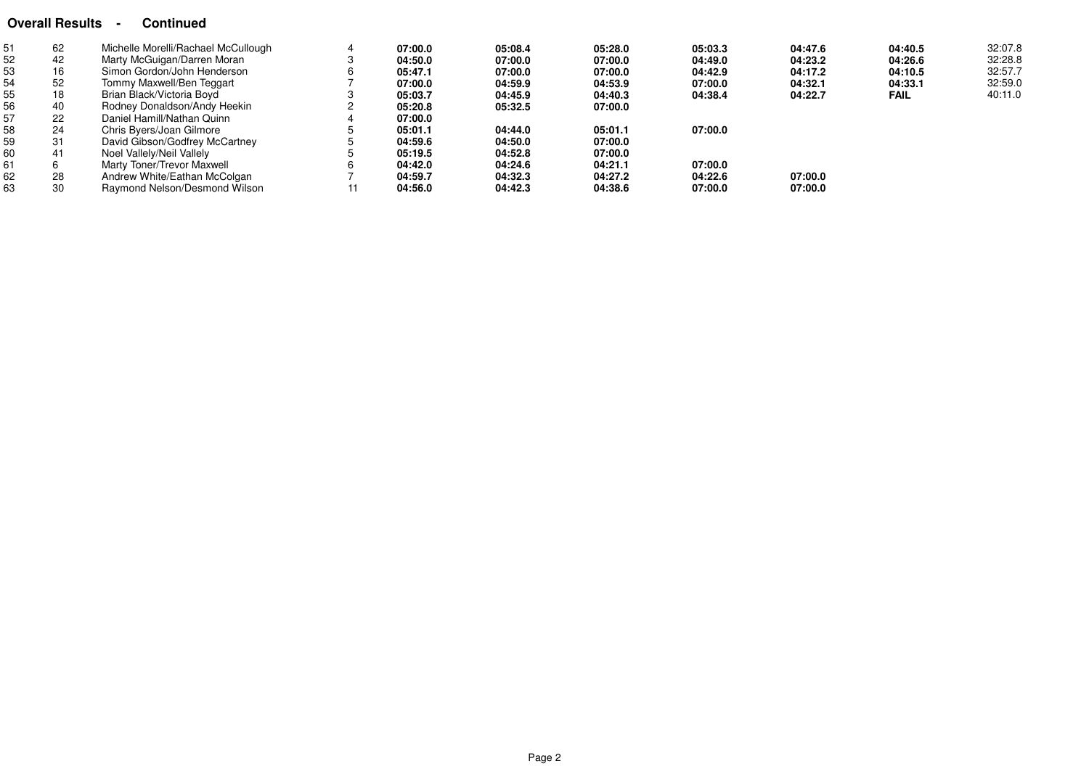# **Overall Results - Continued**

| 51 | 62 | Michelle Morelli/Rachael McCullough | 07:00.0 | 05:08.4 | 05:28.0 | 05:03.3 | 04:47.6 | 04:40.5     | 32:07.8 |
|----|----|-------------------------------------|---------|---------|---------|---------|---------|-------------|---------|
| 52 | 42 | Marty McGuigan/Darren Moran         | 04:50.0 | 07:00.0 | 07:00.0 | 04:49.0 | 04:23.2 | 04:26.6     | 32:28.8 |
| 53 | 16 | Simon Gordon/John Henderson         | 05:47.1 | 07:00.0 | 07:00.0 | 04:42.9 | 04:17.2 | 04:10.5     | 32:57.7 |
| 54 | 52 | Tommy Maxwell/Ben Teggart           | 07:00.0 | 04:59.9 | 04:53.9 | 07:00.0 | 04:32.1 | 04:33.1     | 32:59.0 |
| 55 | 18 | Brian Black/Victoria Boyd           | 05:03.7 | 04:45.9 | 04:40.3 | 04:38.4 | 04:22.7 | <b>FAIL</b> | 40:11.0 |
| 56 | 40 | Rodney Donaldson/Andy Heekin        | 05:20.8 | 05:32.5 | 07:00.0 |         |         |             |         |
| 57 | 22 | Daniel Hamill/Nathan Quinn          | 07:00.0 |         |         |         |         |             |         |
| 58 | 24 | Chris Byers/Joan Gilmore            | 05:01.1 | 04:44.0 | 05:01.1 | 07:00.0 |         |             |         |
| 59 | 31 | David Gibson/Godfrey McCartney      | 04:59.6 | 04:50.0 | 07:00.0 |         |         |             |         |
| 60 | 41 | Noel Vallely/Neil Vallely           | 05:19.5 | 04:52.8 | 07:00.0 |         |         |             |         |
| 61 |    | Marty Toner/Trevor Maxwell          | 04:42.0 | 04:24.6 | 04:21.1 | 07:00.0 |         |             |         |
| 62 | 28 | Andrew White/Eathan McColgan        | 04:59.7 | 04:32.3 | 04:27.2 | 04:22.6 | 07:00.0 |             |         |
| 63 | 30 | Raymond Nelson/Desmond Wilson       | 04:56.0 | 04:42.3 | 04:38.6 | 07:00.0 | 07:00.0 |             |         |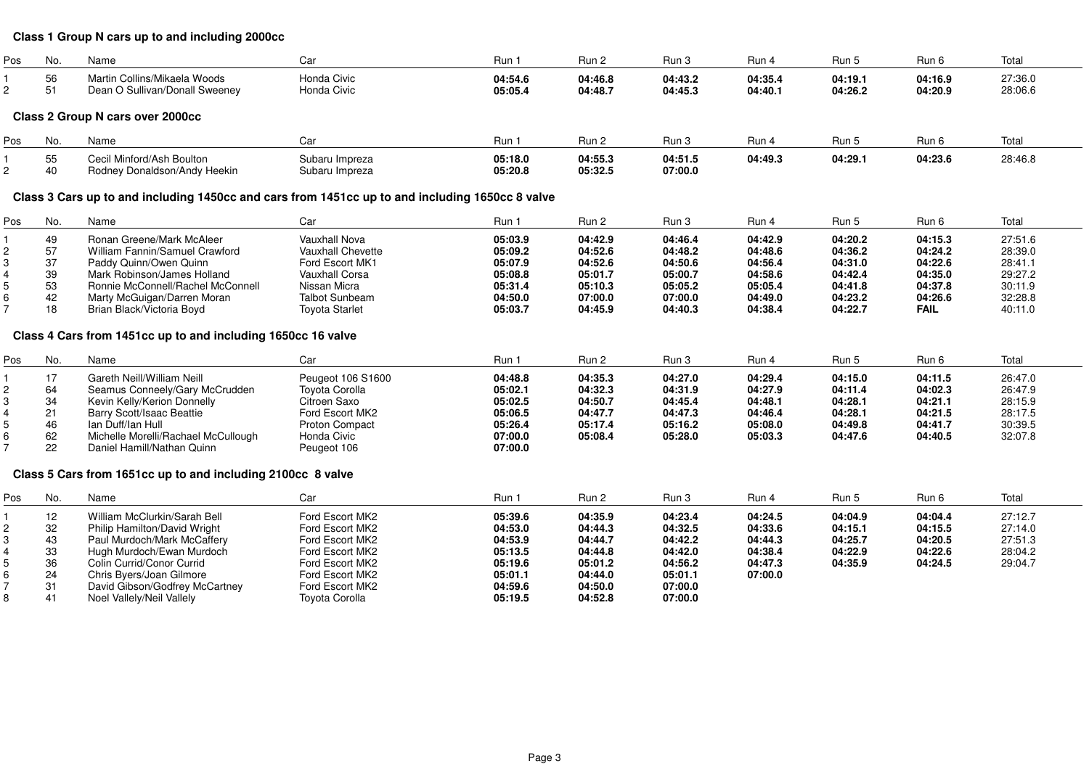#### **Class 1 Group N cars up to and including 2000cc**

| Pos | INO.     | Name                                                           |                                   | Run                | 3un 2              |                    | Rur                | Run                | Run                | Total              |
|-----|----------|----------------------------------------------------------------|-----------------------------------|--------------------|--------------------|--------------------|--------------------|--------------------|--------------------|--------------------|
|     | 56<br>JU | Martin Collins/Mikaela Woods<br>Dean O Sullivan/Donall Sweenev | <b>Honda Civic</b><br>Honda Civic | 04:54.6<br>05:05.4 | 04:46.8<br>04:48.7 | 04:43.2<br>04:45.3 | 04:35.4<br>04:40.1 | 04:19.1<br>04:26.2 | 04:16.9<br>04:20.9 | 27:36.0<br>28:06.6 |

# **Class 2 Group N cars over 2000cc**

| Pos | INO.            | Name                                                   |                                  | Run                | Run.               | Rur                | Run -   | Run-    | Run 6   | --<br>ιυιαι |
|-----|-----------------|--------------------------------------------------------|----------------------------------|--------------------|--------------------|--------------------|---------|---------|---------|-------------|
|     | $ -$<br>v<br>40 | il Minford/Ash Boulton<br>Rodney Donaldson/Andy Heekin | Subaru Impreza<br>Subaru Impreza | 05:18.0<br>05:20.8 | 04:55.3<br>05:32.5 | 04:51.5<br>07:00.0 | 04:49.3 | 04:29.1 | 04:23.6 | 28:46.8     |

# **Class 3 Cars up to and including 1450cc and cars from 1451cc up to and including 1650cc 8 valve**

| Pos | No. | Name                              | Car                   | Run 1   | Run 2   | Run 3   | Run 4   | Run 5   | Run 6       | Total   |
|-----|-----|-----------------------------------|-----------------------|---------|---------|---------|---------|---------|-------------|---------|
|     | 49  | Ronan Greene/Mark McAleer         | Vauxhall Nova         | 05:03.9 | 04:42.9 | 04:46.4 | 04:42.9 | 04:20.2 | 04:15.3     | 27:51.6 |
|     | 57  | William Fannin/Samuel Crawford    | Vauxhall Chevette     | 05:09.2 | 04:52.6 | 04:48.2 | 04:48.6 | 04:36.2 | 04:24.2     | 28:39.0 |
|     | 37  | Paddy Quinn/Owen Quinn            | Ford Escort MK1       | 05:07.9 | 04:52.6 | 04:50.6 | 04:56.4 | 04:31.0 | 04:22.6     | 28:41.1 |
|     | 39  | Mark Robinson/James Holland       | Vauxhall Corsa        | 05:08.8 | 05:01.7 | 05:00.7 | 04:58.6 | 04:42.4 | 04:35.0     | 29:27.2 |
|     | 53  | Ronnie McConnell/Rachel McConnell | Nissan Micra          | 05:31.4 | 05:10.3 | 05:05.2 | 05:05.4 | 04:41.8 | 04:37.8     | 30:11.9 |
|     | 42  | Marty McGuigan/Darren Moran       | <b>Talbot Sunbeam</b> | 04:50.0 | 07:00.0 | 07:00.0 | 04:49.0 | 04:23.2 | 04:26.6     | 32:28.8 |
|     | 18  | Brian Black/Victoria Boyd         | <b>Tovota Starlet</b> | 05:03.7 | 04:45.9 | 04:40.3 | 04:38.4 | 04:22.7 | <b>FAIL</b> | 40:11.0 |

#### **Class 4 Cars from 1451cc up to and including 1650cc 16 valve**

| Pos | No. | Name                                | Car               | Run 1   | Run 2   | Run 3   | Run 4   | Run 5   | Run 6   | Total   |
|-----|-----|-------------------------------------|-------------------|---------|---------|---------|---------|---------|---------|---------|
|     |     | Gareth Neill/William Neill          | Peugeot 106 S1600 | 04:48.8 | 04:35.3 | 04:27.0 | 04:29.4 | 04:15.0 | 04:11.5 | 26:47.0 |
|     | 64  | Seamus Conneely/Gary McCrudden      | Toyota Corolla    | 05:02.1 | 04:32.3 | 04:31.9 | 04:27.9 | 04:11.4 | 04:02.3 | 26:47.9 |
|     | 34  | Kevin Kelly/Kerion Donnelly         | Citroen Saxo      | 05:02.5 | 04:50.7 | 04:45.4 | 04:48.1 | 04:28.1 | 04:21.1 | 28:15.9 |
|     |     | Barry Scott/Isaac Beattie           | Ford Escort MK2   | 05:06.5 | 04:47.7 | 04:47.3 | 04:46.4 | 04:28.1 | 04:21.5 | 28:17.5 |
|     | 46  | lan Duff/lan Hull                   | Proton Compact    | 05:26.4 | 05:17.4 | 05:16.2 | 05:08.0 | 04:49.8 | 04:41.7 | 30:39.5 |
|     | 62  | Michelle Morelli/Rachael McCullough | Honda Civic       | 07:00.0 | 05:08.4 | 05:28.0 | 05:03.3 | 04:47.6 | 04:40.5 | 32:07.8 |
|     | 22  | Daniel Hamill/Nathan Quinn          | Peugeot 106       | 07:00.0 |         |         |         |         |         |         |

#### **Class 5 Cars from 1651cc up to and including 2100cc 8 valve**

| Pos | No. | Name                           | Car                   | Run 1   | Run 2   | Run 3   | Run 4   | Run 5   | Run 6   | Total   |
|-----|-----|--------------------------------|-----------------------|---------|---------|---------|---------|---------|---------|---------|
|     | 12  | William McClurkin/Sarah Bell   | Ford Escort MK2       | 05:39.6 | 04:35.9 | 04:23.4 | 04:24.5 | 04:04.9 | 04:04.4 | 27:12.7 |
|     | 32  | Philip Hamilton/David Wright   | Ford Escort MK2       | 04:53.0 | 04:44.3 | 04:32.5 | 04:33.6 | 04:15.1 | 04:15.5 | 27:14.0 |
|     | 43  | Paul Murdoch/Mark McCaffery    | Ford Escort MK2       | 04:53.9 | 04:44.7 | 04:42.2 | 04:44.3 | 04:25.7 | 04:20.5 | 27:51.3 |
|     | 33  | Hugh Murdoch/Ewan Murdoch      | Ford Escort MK2       | 05:13.5 | 04:44.8 | 04:42.0 | 04:38.4 | 04:22.9 | 04:22.6 | 28:04.2 |
|     | 36  | Colin Currid/Conor Currid      | Ford Escort MK2       | 05:19.6 | 05:01.2 | 04:56.2 | 04:47.3 | 04:35.9 | 04:24.5 | 29:04.7 |
|     | 24  | Chris Byers/Joan Gilmore       | Ford Escort MK2       | 05:01.1 | 04:44.0 | 05:01.1 | 07:00.0 |         |         |         |
|     |     | David Gibson/Godfrey McCartney | Ford Escort MK2       | 04:59.6 | 04:50.0 | 07:00.0 |         |         |         |         |
|     | 41  | Noel Vallely/Neil Vallely      | <b>Toyota Corolla</b> | 05:19.5 | 04:52.8 | 07:00.0 |         |         |         |         |